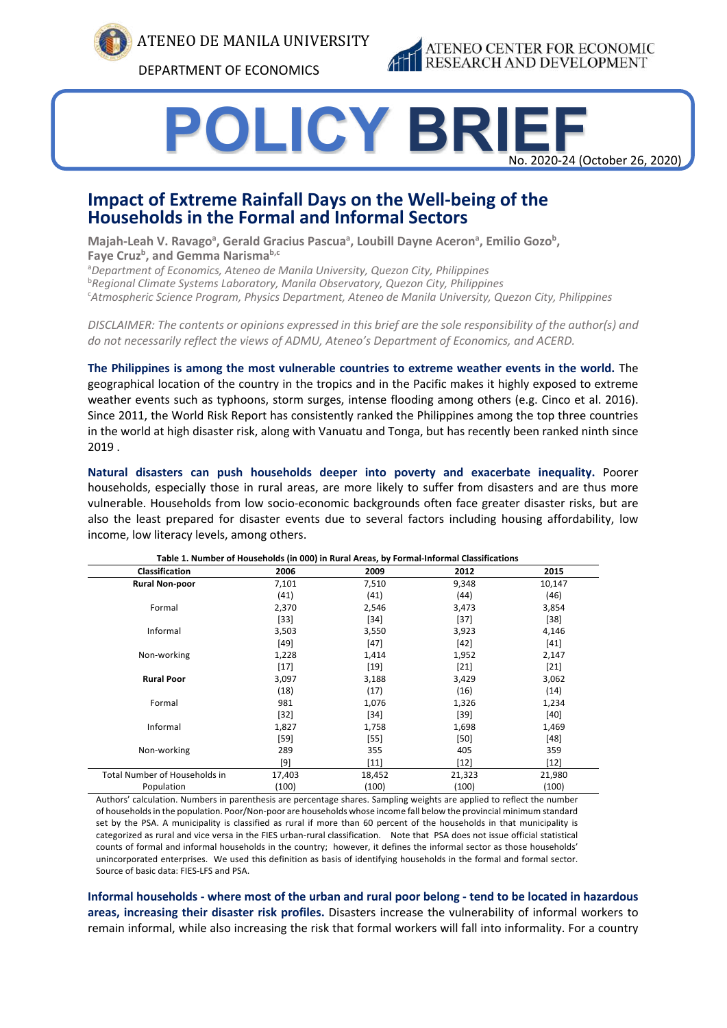

ATENEO DE MANILA UNIVERSITY

DEPARTMENT OF ECONOMICS



# **POLICY BRIEF** No. 2020-24 (October 26, 2020)

## **Impact of Extreme Rainfall Days on the Well-being of the Households in the Formal and Informal Sectors**

Majah-Leah V. Ravago<sup>a</sup>, Gerald Gracius Pascua<sup>a</sup>, Loubill Dayne Aceron<sup>a</sup>, Emilio Gozo<sup>b</sup>, Faye Cruz<sup>b</sup>, and Gemma Narisma<sup>b,c</sup>

a *Department of Economics, Ateneo de Manila University, Quezon City, Philippines* b *Regional Climate Systems Laboratory, Manila Observatory, Quezon City, Philippines* c *Atmospheric Science Program, Physics Department, Ateneo de Manila University, Quezon City, Philippines*

*DISCLAIMER: The contents or opinions expressed in this brief are the sole responsibility of the author(s) and do not necessarily reflect the views of ADMU, Ateneo's Department of Economics, and ACERD.*

**The Philippines is among the most vulnerable countries to extreme weather events in the world.** The geographical location of the country in the tropics and in the Pacific makes it highly exposed to extreme weather events such as typhoons, storm surges, intense flooding among others (e.g. Cinco et al. 2016). Since 2011, the World Risk Report has consistently ranked the Philippines among the top three countries in the world at high disaster risk, along with Vanuatu and Tonga, but has recently been ranked ninth since 2019 .

**Natural disasters can push households deeper into poverty and exacerbate inequality.** Poorer households, especially those in rural areas, are more likely to suffer from disasters and are thus more vulnerable. Households from low socio-economic backgrounds often face greater disaster risks, but are also the least prepared for disaster events due to several factors including housing affordability, low income, low literacy levels, among others.

| Table 1. Number of Households (in 000) in Rural Areas, by Formal-Informal Classifications |        |        |        |        |  |
|-------------------------------------------------------------------------------------------|--------|--------|--------|--------|--|
| <b>Classification</b>                                                                     | 2006   | 2009   | 2012   | 2015   |  |
| <b>Rural Non-poor</b>                                                                     | 7,101  | 7,510  | 9,348  | 10,147 |  |
|                                                                                           | (41)   | (41)   | (44)   | (46)   |  |
| Formal                                                                                    | 2,370  | 2,546  | 3,473  | 3,854  |  |
|                                                                                           | $[33]$ | $[34]$ | $[37]$ | $[38]$ |  |
| Informal                                                                                  | 3,503  | 3,550  | 3,923  | 4,146  |  |
|                                                                                           | $[49]$ | $[47]$ | $[42]$ | $[41]$ |  |
| Non-working                                                                               | 1,228  | 1,414  | 1,952  | 2,147  |  |
|                                                                                           | $[17]$ | $[19]$ | $[21]$ | $[21]$ |  |
| <b>Rural Poor</b>                                                                         | 3,097  | 3,188  | 3,429  | 3,062  |  |
|                                                                                           | (18)   | (17)   | (16)   | (14)   |  |
| Formal                                                                                    | 981    | 1,076  | 1,326  | 1,234  |  |
|                                                                                           | $[32]$ | [34]   | $[39]$ | $[40]$ |  |
| Informal                                                                                  | 1,827  | 1,758  | 1,698  | 1,469  |  |
|                                                                                           | $[59]$ | $[55]$ | $[50]$ | $[48]$ |  |
| Non-working                                                                               | 289    | 355    | 405    | 359    |  |
|                                                                                           | [9]    | $[11]$ | $[12]$ | $[12]$ |  |
| Total Number of Households in                                                             | 17,403 | 18,452 | 21,323 | 21,980 |  |
| Population                                                                                | (100)  | (100)  | (100)  | (100)  |  |

Authors' calculation. Numbers in parenthesis are percentage shares. Sampling weights are applied to reflect the number of households in the population. Poor/Non-poor are households whose income fall below the provincial minimum standard set by the PSA. A municipality is classified as rural if more than 60 percent of the households in that municipality is categorized as rural and vice versa in the FIES urban-rural classification. Note that PSA does not issue official statistical counts of formal and informal households in the country; however, it defines the informal sector as those households' unincorporated enterprises. We used this definition as basis of identifying households in the formal and formal sector. Source of basic data: FIES-LFS and PSA.

**Informal households - where most of the urban and rural poor belong - tend to be located in hazardous areas, increasing their disaster risk profiles.** Disasters increase the vulnerability of informal workers to remain informal, while also increasing the risk that formal workers will fall into informality. For a country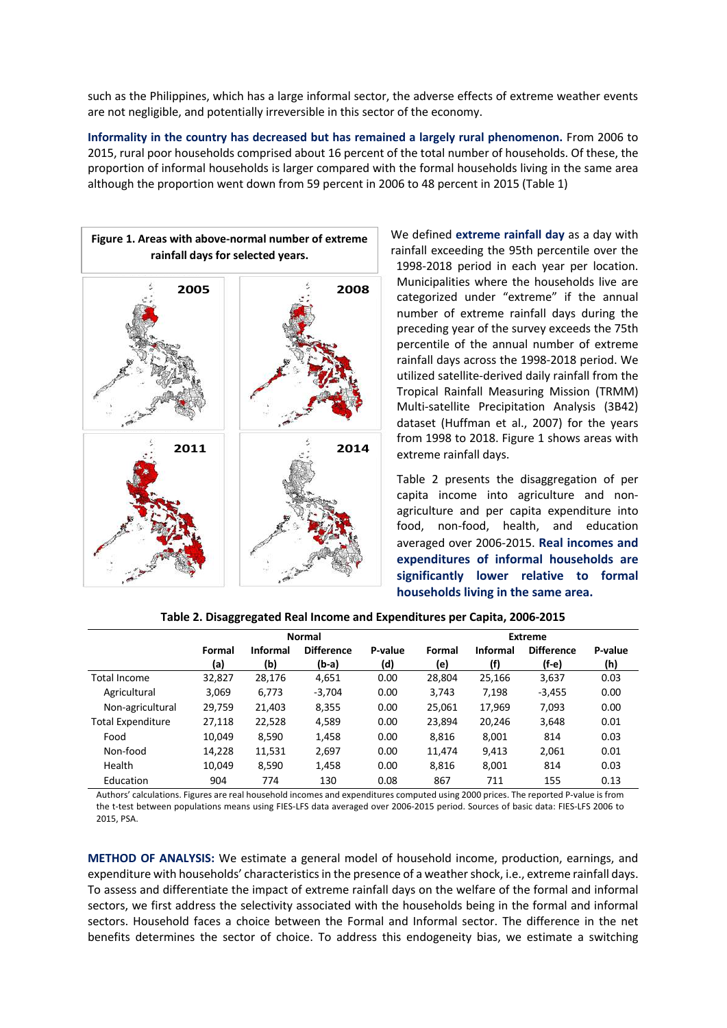such as the Philippines, which has a large informal sector, the adverse effects of extreme weather events are not negligible, and potentially irreversible in this sector of the economy.

**Informality in the country has decreased but has remained a largely rural phenomenon.** From 2006 to 2015, rural poor households comprised about 16 percent of the total number of households. Of these, the proportion of informal households is larger compared with the formal households living in the same area although the proportion went down from 59 percent in 2006 to 48 percent in 2015 (Table 1)



We defined **extreme rainfall day** as a day with rainfall exceeding the 95th percentile over the 1998-2018 period in each year per location. Municipalities where the households live are categorized under "extreme" if the annual number of extreme rainfall days during the preceding year of the survey exceeds the 75th percentile of the annual number of extreme rainfall days across the 1998-2018 period. We utilized satellite-derived daily rainfall from the Tropical Rainfall Measuring Mission (TRMM) Multi-satellite Precipitation Analysis (3B42) dataset (Huffman et al., 2007) for the years from 1998 to 2018. Figure 1 shows areas with extreme rainfall days.

Table 2 presents the disaggregation of per capita income into agriculture and nonagriculture and per capita expenditure into food, non-food, health, and education averaged over 2006-2015. **Real incomes and expenditures of informal households are significantly lower relative to formal households living in the same area.**

|                          | <b>Normal</b> |                 |                   | <b>Extreme</b> |        |                 |                   |         |
|--------------------------|---------------|-----------------|-------------------|----------------|--------|-----------------|-------------------|---------|
|                          | Formal        | <b>Informal</b> | <b>Difference</b> | P-value        | Formal | <b>Informal</b> | <b>Difference</b> | P-value |
|                          | (a)           | (b)             | (b-a)             | (d)            | (e)    | (f)             | (f-e)             | (h)     |
| Total Income             | 32,827        | 28,176          | 4,651             | 0.00           | 28,804 | 25,166          | 3,637             | 0.03    |
| Agricultural             | 3,069         | 6,773           | $-3,704$          | 0.00           | 3,743  | 7,198           | $-3,455$          | 0.00    |
| Non-agricultural         | 29,759        | 21,403          | 8,355             | 0.00           | 25,061 | 17.969          | 7,093             | 0.00    |
| <b>Total Expenditure</b> | 27,118        | 22,528          | 4,589             | 0.00           | 23.894 | 20,246          | 3,648             | 0.01    |
| Food                     | 10,049        | 8,590           | 1,458             | 0.00           | 8,816  | 8,001           | 814               | 0.03    |
| Non-food                 | 14,228        | 11,531          | 2,697             | 0.00           | 11,474 | 9,413           | 2,061             | 0.01    |
| Health                   | 10,049        | 8,590           | 1,458             | 0.00           | 8,816  | 8,001           | 814               | 0.03    |
| Education                | 904           | 774             | 130               | 0.08           | 867    | 711             | 155               | 0.13    |

Authors' calculations. Figures are real household incomes and expenditures computed using 2000 prices. The reported P-value is from the t-test between populations means using FIES-LFS data averaged over 2006-2015 period. Sources of basic data: FIES-LFS 2006 to 2015, PSA.

**METHOD OF ANALYSIS:** We estimate a general model of household income, production, earnings, and expenditure with households' characteristics in the presence of a weather shock, i.e., extreme rainfall days. To assess and differentiate the impact of extreme rainfall days on the welfare of the formal and informal sectors, we first address the selectivity associated with the households being in the formal and informal sectors. Household faces a choice between the Formal and Informal sector. The difference in the net benefits determines the sector of choice. To address this endogeneity bias, we estimate a switching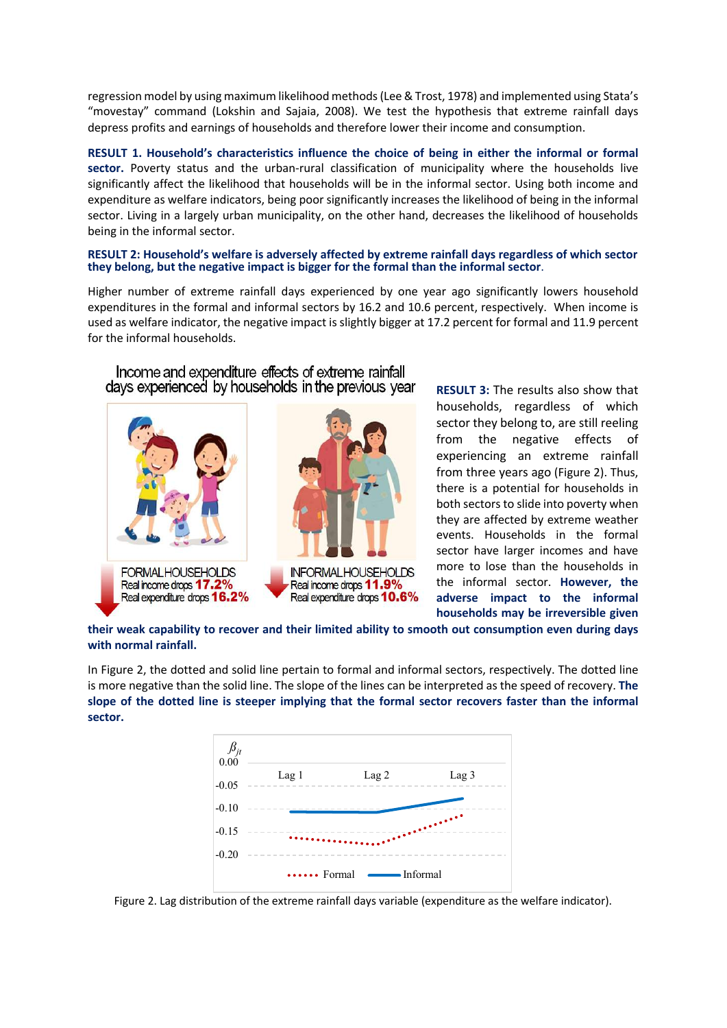regression model by using maximum likelihood methods (Lee & Trost, 1978) and implemented using Stata's "movestay" command (Lokshin and Sajaia, 2008). We test the hypothesis that extreme rainfall days depress profits and earnings of households and therefore lower their income and consumption.

**RESULT 1. Household's characteristics influence the choice of being in either the informal or formal sector.** Poverty status and the urban-rural classification of municipality where the households live significantly affect the likelihood that households will be in the informal sector. Using both income and expenditure as welfare indicators, being poor significantly increases the likelihood of being in the informal sector. Living in a largely urban municipality, on the other hand, decreases the likelihood of households being in the informal sector.

#### **RESULT 2: Household's welfare is adversely affected by extreme rainfall days regardless of which sector they belong, but the negative impact is bigger for the formal than the informal sector**.

Higher number of extreme rainfall days experienced by one year ago significantly lowers household expenditures in the formal and informal sectors by 16.2 and 10.6 percent, respectively. When income is used as welfare indicator, the negative impact is slightly bigger at 17.2 percent for formal and 11.9 percent for the informal households.



Income and expenditure effects of extreme rainfall

**RESULT 3:** The results also show that households, regardless of which sector they belong to, are still reeling from the negative effects of experiencing an extreme rainfall from three years ago (Figure 2). Thus, there is a potential for households in both sectors to slide into poverty when they are affected by extreme weather events. Households in the formal sector have larger incomes and have more to lose than the households in the informal sector. **However, the adverse impact to the informal households may be irreversible given** 

**their weak capability to recover and their limited ability to smooth out consumption even during days with normal rainfall.**

In Figure 2, the dotted and solid line pertain to formal and informal sectors, respectively. The dotted line is more negative than the solid line. The slope of the lines can be interpreted as the speed of recovery. **The slope of the dotted line is steeper implying that the formal sector recovers faster than the informal sector.**



Figure 2. Lag distribution of the extreme rainfall days variable (expenditure as the welfare indicator).